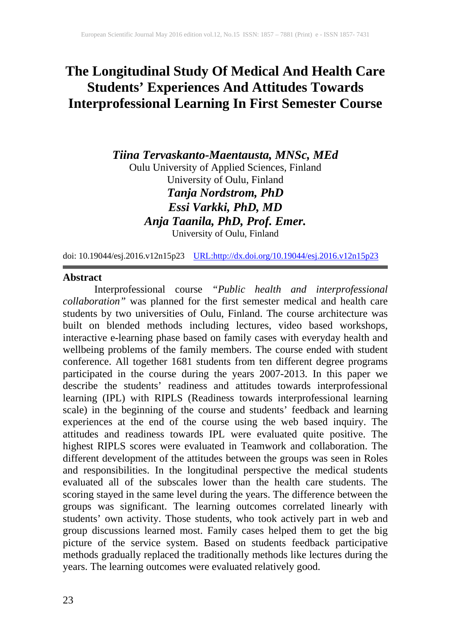# **The Longitudinal Study Of Medical And Health Care Students' Experiences And Attitudes Towards Interprofessional Learning In First Semester Course**

*Tiina Tervaskanto-Maentausta, MNSc, MEd* Oulu University of Applied Sciences, Finland University of Oulu, Finland *Tanja Nordstrom, PhD Essi Varkki, PhD, MD Anja Taanila, PhD, Prof. Emer.*

University of Oulu, Finland

doi: 10.19044/esj.2016.v12n15p23 [URL:http://dx.doi.org/10.19044/esj.2016.v12n15p23](http://dx.doi.org/10.19044/esj.2016.v12n15p23)

#### **Abstract**

Interprofessional course *"Public health and interprofessional collaboration"* was planned for the first semester medical and health care students by two universities of Oulu, Finland. The course architecture was built on blended methods including lectures, video based workshops, interactive e-learning phase based on family cases with everyday health and wellbeing problems of the family members. The course ended with student conference. All together 1681 students from ten different degree programs participated in the course during the years 2007-2013. In this paper we describe the students' readiness and attitudes towards interprofessional learning (IPL) with RIPLS (Readiness towards interprofessional learning scale) in the beginning of the course and students' feedback and learning experiences at the end of the course using the web based inquiry. The attitudes and readiness towards IPL were evaluated quite positive. The highest RIPLS scores were evaluated in Teamwork and collaboration. The different development of the attitudes between the groups was seen in Roles and responsibilities. In the longitudinal perspective the medical students evaluated all of the subscales lower than the health care students. The scoring stayed in the same level during the years. The difference between the groups was significant. The learning outcomes correlated linearly with students' own activity. Those students, who took actively part in web and group discussions learned most. Family cases helped them to get the big picture of the service system. Based on students feedback participative methods gradually replaced the traditionally methods like lectures during the years. The learning outcomes were evaluated relatively good.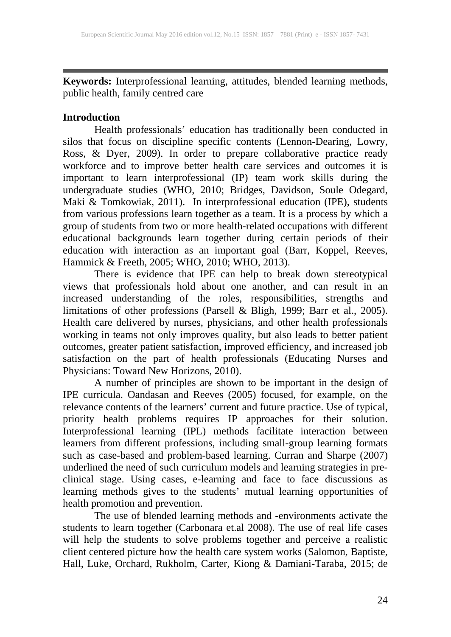**Keywords:** Interprofessional learning, attitudes, blended learning methods, public health, family centred care

## **Introduction**

Health professionals' education has traditionally been conducted in silos that focus on discipline specific contents (Lennon-Dearing, Lowry, Ross, & Dyer, 2009). In order to prepare collaborative practice ready workforce and to improve better health care services and outcomes it is important to learn interprofessional (IP) team work skills during the undergraduate studies (WHO, 2010; Bridges, Davidson, Soule Odegard, Maki & Tomkowiak, 2011). In interprofessional education (IPE), students from various professions learn together as a team. It is a process by which a group of students from two or more health-related occupations with different educational backgrounds learn together during certain periods of their education with interaction as an important goal (Barr, Koppel, Reeves, Hammick & Freeth, 2005; WHO, 2010; WHO, 2013).

There is evidence that IPE can help to break down stereotypical views that professionals hold about one another, and can result in an increased understanding of the roles, responsibilities, strengths and limitations of other professions (Parsell & Bligh, 1999; Barr et al., 2005). Health care delivered by nurses, physicians, and other health professionals working in teams not only improves quality, but also leads to better patient outcomes, greater patient satisfaction, improved efficiency, and increased job satisfaction on the part of health professionals (Educating Nurses and Physicians: Toward New Horizons, 2010).

A number of principles are shown to be important in the design of IPE curricula. Oandasan and Reeves (2005) focused, for example, on the relevance contents of the learners' current and future practice. Use of typical, priority health problems requires IP approaches for their solution. Interprofessional learning (IPL) methods facilitate interaction between learners from different professions, including small-group learning formats such as case-based and problem-based learning. Curran and Sharpe (2007) underlined the need of such curriculum models and learning strategies in pre-<br>underlined the need of such curriculum models and learning strategies in preclinical stage. Using cases, e-learning and face to face discussions as learning methods gives to the students' mutual learning opportunities of health promotion and prevention.

The use of blended learning methods and -environments activate the students to learn together (Carbonara et.al 2008). The use of real life cases will help the students to solve problems together and perceive a realistic client centered picture how the health care system works (Salomon, Baptiste, Hall, Luke, Orchard, Rukholm, Carter, Kiong & Damiani-Taraba, 2015; de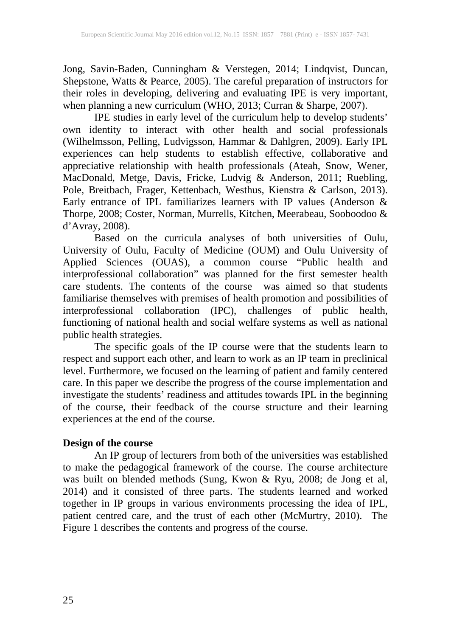Jong, Savin-Baden, Cunningham & Verstegen, 2014; Lindqvist, Duncan, Shepstone, Watts & Pearce, 2005). The careful preparation of instructors for their roles in developing, delivering and evaluating IPE is very important, when planning a new curriculum (WHO, 2013; Curran & Sharpe, 2007).

IPE studies in early level of the curriculum help to develop students' own identity to interact with other health and social professionals (Wilhelmsson, Pelling, Ludvigsson, Hammar & Dahlgren, 2009). Early IPL experiences can help students to establish effective, collaborative and appreciative relationship with health professionals (Ateah, Snow, Wener, MacDonald, Metge, Davis, Fricke, Ludvig & Anderson, 2011; Ruebling, Pole, Breitbach, Frager, Kettenbach, Westhus, Kienstra & Carlson, 2013). Early entrance of IPL familiarizes learners with IP values (Anderson & Thorpe, 2008; Coster, Norman, Murrells, Kitchen, Meerabeau, Sooboodoo & d'Avray, 2008).

Based on the curricula analyses of both universities of Oulu, University of Oulu, Faculty of Medicine (OUM) and Oulu University of Applied Sciences (OUAS), a common course "Public health and interprofessional collaboration" was planned for the first semester health care students. The contents of the course was aimed so that students familiarise themselves with premises of health promotion and possibilities of interprofessional collaboration (IPC), challenges of public health, functioning of national health and social welfare systems as well as national public health strategies.

The specific goals of the IP course were that the students learn to respect and support each other, and learn to work as an IP team in preclinical level. Furthermore, we focused on the learning of patient and family centered care. In this paper we describe the progress of the course implementation and investigate the students' readiness and attitudes towards IPL in the beginning of the course, their feedback of the course structure and their learning experiences at the end of the course.

## **Design of the course**

An IP group of lecturers from both of the universities was established to make the pedagogical framework of the course. The course architecture was built on blended methods (Sung, Kwon & Ryu, 2008; de Jong et al, 2014) and it consisted of three parts. The students learned and worked together in IP groups in various environments processing the idea of IPL, patient centred care, and the trust of each other (McMurtry, 2010). The Figure 1 describes the contents and progress of the course.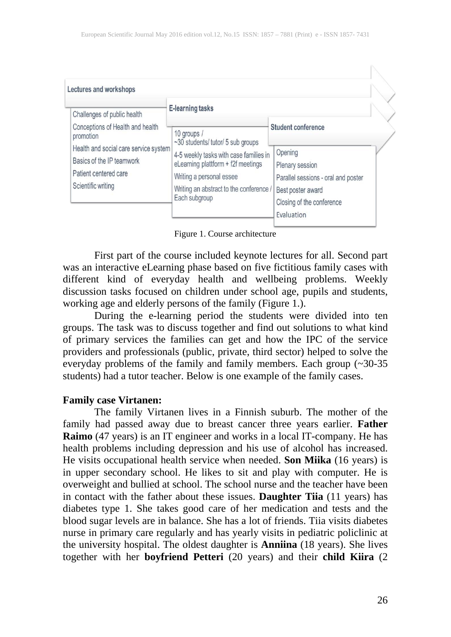Figure 1. Course architecture

First part of the course included keynote lectures for all. Second part was an interactive eLearning phase based on five fictitious family cases with different kind of everyday health and wellbeing problems. Weekly discussion tasks focused on children under school age, pupils and students, working age and elderly persons of the family (Figure 1.).

During the e-learning period the students were divided into ten groups. The task was to discuss together and find out solutions to what kind of primary services the families can get and how the IPC of the service providers and professionals (public, private, third sector) helped to solve the everyday problems of the family and family members. Each group (~30-35 students) had a tutor teacher. Below is one example of the family cases.

#### **Family case Virtanen:**

The family Virtanen lives in a Finnish suburb. The mother of the family had passed away due to breast cancer three years earlier. **Father Raimo** (47 years) is an IT engineer and works in a local IT-company. He has health problems including depression and his use of alcohol has increased. He visits occupational health service when needed. **Son Miika** (16 years) is in upper secondary school. He likes to sit and play with computer. He is overweight and bullied at school. The school nurse and the teacher have been in contact with the father about these issues. **Daughter Tiia** (11 years) has diabetes type 1. She takes good care of her medication and tests and the blood sugar levels are in balance. She has a lot of friends. Tiia visits diabetes nurse in primary care regularly and has yearly visits in pediatric policlinic at the university hospital. The oldest daughter is **Anniina** (18 years). She lives together with her **boyfriend Petteri** (20 years) and their **child Kiira** (2

医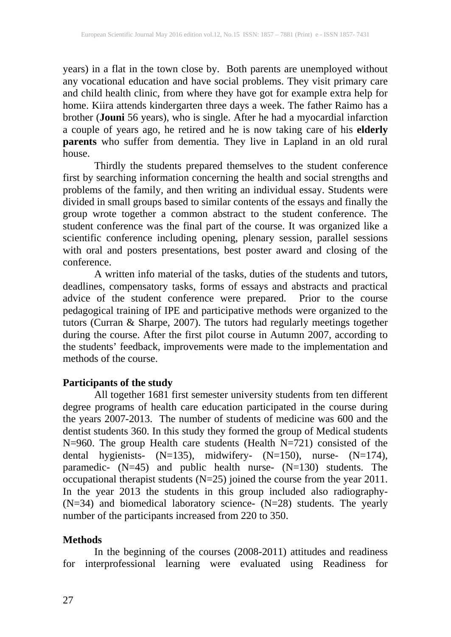years) in a flat in the town close by. Both parents are unemployed without any vocational education and have social problems. They visit primary care and child health clinic, from where they have got for example extra help for home. Kiira attends kindergarten three days a week. The father Raimo has a brother (**Jouni** 56 years), who is single. After he had a myocardial infarction a couple of years ago, he retired and he is now taking care of his **elderly parents** who suffer from dementia. They live in Lapland in an old rural house.

Thirdly the students prepared themselves to the student conference first by searching information concerning the health and social strengths and problems of the family, and then writing an individual essay. Students were divided in small groups based to similar contents of the essays and finally the group wrote together a common abstract to the student conference. The student conference was the final part of the course. It was organized like a scientific conference including opening, plenary session, parallel sessions with oral and posters presentations, best poster award and closing of the conference.

A written info material of the tasks, duties of the students and tutors, deadlines, compensatory tasks, forms of essays and abstracts and practical advice of the student conference were prepared. Prior to the course pedagogical training of IPE and participative methods were organized to the tutors (Curran & Sharpe, 2007). The tutors had regularly meetings together during the course. After the first pilot course in Autumn 2007, according to the students' feedback, improvements were made to the implementation and methods of the course.

### **Participants of the study**

All together 1681 first semester university students from ten different degree programs of health care education participated in the course during the years 2007-2013. The number of students of medicine was 600 and the dentist students 360. In this study they formed the group of Medical students N=960. The group Health care students (Health N=721) consisted of the dental hygienists- (N=135), midwifery- (N=150), nurse- (N=174), paramedic- (N=45) and public health nurse- (N=130) students. The occupational therapist students  $(N=25)$  joined the course from the year 2011. In the year 2013 the students in this group included also radiography- (N=34) and biomedical laboratory science- (N=28) students. The yearly number of the participants increased from 220 to 350.

## **Methods**

In the beginning of the courses (2008-2011) attitudes and readiness for interprofessional learning were evaluated using Readiness for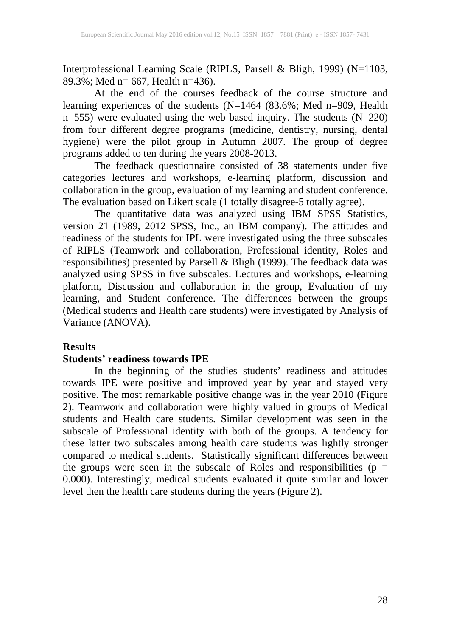Interprofessional Learning Scale (RIPLS, Parsell & Bligh, 1999) (N=1103, 89.3%; Med n= 667, Health n=436).

At the end of the courses feedback of the course structure and learning experiences of the students (N=1464 (83.6%; Med n=909, Health n=555) were evaluated using the web based inquiry. The students (N=220) from four different degree programs (medicine, dentistry, nursing, dental hygiene) were the pilot group in Autumn 2007. The group of degree programs added to ten during the years 2008-2013.

The feedback questionnaire consisted of 38 statements under five categories lectures and workshops, e-learning platform, discussion and collaboration in the group, evaluation of my learning and student conference. The evaluation based on Likert scale (1 totally disagree-5 totally agree).

The quantitative data was analyzed using IBM SPSS Statistics, version 21 (1989, 2012 SPSS, Inc., an IBM company). The attitudes and readiness of the students for IPL were investigated using the three subscales of RIPLS (Teamwork and collaboration, Professional identity, Roles and responsibilities) presented by Parsell & Bligh (1999). The feedback data was analyzed using SPSS in five subscales: Lectures and workshops, e-learning platform, Discussion and collaboration in the group, Evaluation of my learning, and Student conference. The differences between the groups (Medical students and Health care students) were investigated by Analysis of Variance (ANOVA).

#### **Results**

#### **Students' readiness towards IPE**

In the beginning of the studies students' readiness and attitudes towards IPE were positive and improved year by year and stayed very positive. The most remarkable positive change was in the year 2010 (Figure 2). Teamwork and collaboration were highly valued in groups of Medical students and Health care students. Similar development was seen in the subscale of Professional identity with both of the groups. A tendency for these latter two subscales among health care students was lightly stronger compared to medical students. Statistically significant differences between the groups were seen in the subscale of Roles and responsibilities ( $p =$ 0.000). Interestingly, medical students evaluated it quite similar and lower level then the health care students during the years (Figure 2).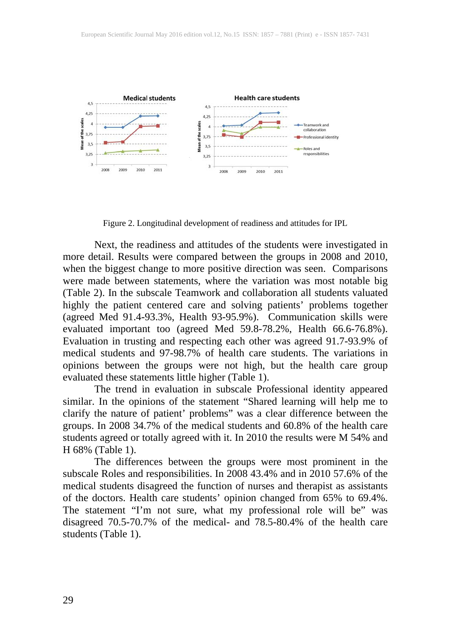

Figure 2. Longitudinal development of readiness and attitudes for IPL

Next, the readiness and attitudes of the students were investigated in more detail. Results were compared between the groups in 2008 and 2010, when the biggest change to more positive direction was seen. Comparisons were made between statements, where the variation was most notable big (Table 2). In the subscale Teamwork and collaboration all students valuated highly the patient centered care and solving patients' problems together (agreed Med 91.4-93.3%, Health 93-95.9%). Communication skills were evaluated important too (agreed Med 59.8-78.2%, Health 66.6-76.8%). Evaluation in trusting and respecting each other was agreed 91.7-93.9% of medical students and 97-98.7% of health care students. The variations in opinions between the groups were not high, but the health care group evaluated these statements little higher (Table 1).

The trend in evaluation in subscale Professional identity appeared similar. In the opinions of the statement "Shared learning will help me to clarify the nature of patient' problems" was a clear difference between the groups. In 2008 34.7% of the medical students and 60.8% of the health care students agreed or totally agreed with it. In 2010 the results were M 54% and H 68% (Table 1).

The differences between the groups were most prominent in the subscale Roles and responsibilities. In 2008 43.4% and in 2010 57.6% of the medical students disagreed the function of nurses and therapist as assistants of the doctors. Health care students' opinion changed from 65% to 69.4%. The statement "I'm not sure, what my professional role will be" was disagreed 70.5-70.7% of the medical- and 78.5-80.4% of the health care students (Table 1).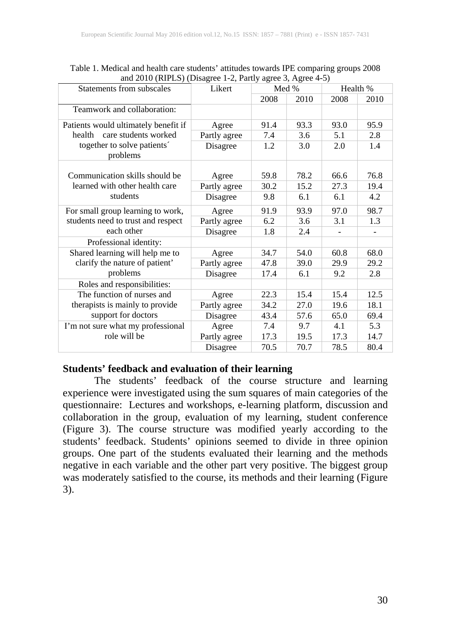| $\frac{1}{2010}$ (KIT ED) (Disagree 1 2, 1 and y agree 5, 1 gree 1 3)<br>Statements from subscales             | Likert       | Med % |      | Health % |      |
|----------------------------------------------------------------------------------------------------------------|--------------|-------|------|----------|------|
|                                                                                                                |              | 2008  | 2010 | 2008     | 2010 |
| Teamwork and collaboration:                                                                                    |              |       |      |          |      |
| Patients would ultimately benefit if<br>health care students worked<br>together to solve patients'<br>problems | Agree        | 91.4  | 93.3 | 93.0     | 95.9 |
|                                                                                                                | Partly agree | 7.4   | 3.6  | 5.1      | 2.8  |
|                                                                                                                | Disagree     | 1.2   | 3.0  | 2.0      | 1.4  |
| Communication skills should be<br>learned with other health care<br>students                                   | Agree        | 59.8  | 78.2 | 66.6     | 76.8 |
|                                                                                                                | Partly agree | 30.2  | 15.2 | 27.3     | 19.4 |
|                                                                                                                | Disagree     | 9.8   | 6.1  | 6.1      | 4.2  |
| For small group learning to work,<br>students need to trust and respect<br>each other                          | Agree        | 91.9  | 93.9 | 97.0     | 98.7 |
|                                                                                                                | Partly agree | 6.2   | 3.6  | 3.1      | 1.3  |
|                                                                                                                | Disagree     | 1.8   | 2.4  |          |      |
| Professional identity:                                                                                         |              |       |      |          |      |
| Shared learning will help me to<br>clarify the nature of patient'<br>problems                                  | Agree        | 34.7  | 54.0 | 60.8     | 68.0 |
|                                                                                                                | Partly agree | 47.8  | 39.0 | 29.9     | 29.2 |
|                                                                                                                | Disagree     | 17.4  | 6.1  | 9.2      | 2.8  |
| Roles and responsibilities:                                                                                    |              |       |      |          |      |
| The function of nurses and<br>therapists is mainly to provide<br>support for doctors                           | Agree        | 22.3  | 15.4 | 15.4     | 12.5 |
|                                                                                                                | Partly agree | 34.2  | 27.0 | 19.6     | 18.1 |
|                                                                                                                | Disagree     | 43.4  | 57.6 | 65.0     | 69.4 |
| I'm not sure what my professional<br>role will be                                                              | Agree        | 7.4   | 9.7  | 4.1      | 5.3  |
|                                                                                                                | Partly agree | 17.3  | 19.5 | 17.3     | 14.7 |
|                                                                                                                | Disagree     | 70.5  | 70.7 | 78.5     | 80.4 |

Table 1. Medical and health care students' attitudes towards IPE comparing groups 2008 and 2010 (RIPLS) (Disagree 1-2, Partly agree 3, Agree 4-5)

## **Students' feedback and evaluation of their learning**

The students' feedback of the course structure and learning experience were investigated using the sum squares of main categories of the questionnaire: Lectures and workshops, e-learning platform, discussion and collaboration in the group, evaluation of my learning, student conference (Figure 3). The course structure was modified yearly according to the students' feedback. Students' opinions seemed to divide in three opinion groups. One part of the students evaluated their learning and the methods negative in each variable and the other part very positive. The biggest group was moderately satisfied to the course, its methods and their learning (Figure 3).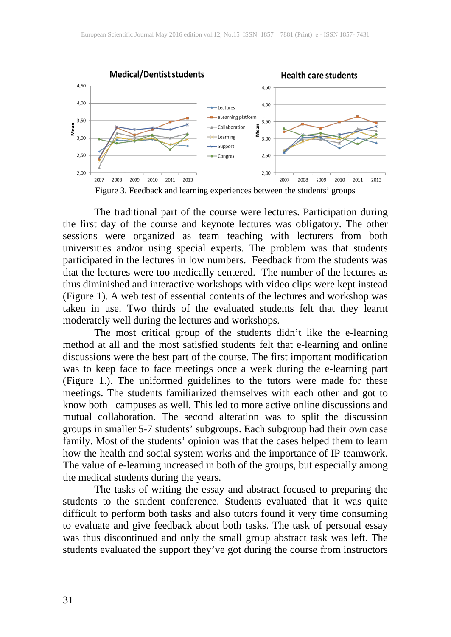

Figure 3. Feedback and learning experiences between the students' groups

The traditional part of the course were lectures. Participation during the first day of the course and keynote lectures was obligatory. The other sessions were organized as team teaching with lecturers from both universities and/or using special experts. The problem was that students participated in the lectures in low numbers. Feedback from the students was that the lectures were too medically centered. The number of the lectures as thus diminished and interactive workshops with video clips were kept instead (Figure 1). A web test of essential contents of the lectures and workshop was taken in use. Two thirds of the evaluated students felt that they learnt moderately well during the lectures and workshops.

The most critical group of the students didn't like the e-learning method at all and the most satisfied students felt that e-learning and online discussions were the best part of the course. The first important modification was to keep face to face meetings once a week during the e-learning part (Figure 1.). The uniformed guidelines to the tutors were made for these meetings. The students familiarized themselves with each other and got to know both campuses as well. This led to more active online discussions and mutual collaboration. The second alteration was to split the discussion groups in smaller 5-7 students' subgroups. Each subgroup had their own case family. Most of the students' opinion was that the cases helped them to learn how the health and social system works and the importance of IP teamwork. The value of e-learning increased in both of the groups, but especially among the medical students during the years.

The tasks of writing the essay and abstract focused to preparing the students to the student conference. Students evaluated that it was quite difficult to perform both tasks and also tutors found it very time consuming to evaluate and give feedback about both tasks. The task of personal essay was thus discontinued and only the small group abstract task was left. The students evaluated the support they've got during the course from instructors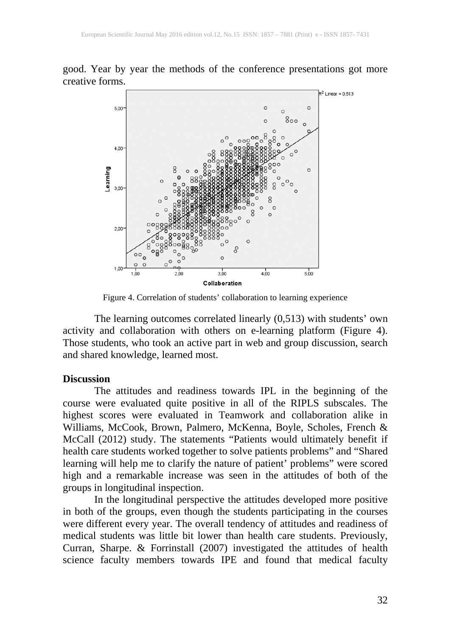good. Year by year the methods of the conference presentations got more creative forms.



Figure 4. Correlation of students' collaboration to learning experience

The learning outcomes correlated linearly (0,513) with students' own activity and collaboration with others on e-learning platform (Figure 4). Those students, who took an active part in web and group discussion, search and shared knowledge, learned most.

#### **Discussion**

The attitudes and readiness towards IPL in the beginning of the course were evaluated quite positive in all of the RIPLS subscales. The highest scores were evaluated in Teamwork and collaboration alike in Williams, McCook, Brown, Palmero, McKenna, Boyle, Scholes, French & McCall (2012) study. The statements "Patients would ultimately benefit if health care students worked together to solve patients problems" and "Shared learning will help me to clarify the nature of patient' problems" were scored high and a remarkable increase was seen in the attitudes of both of the groups in longitudinal inspection.

In the longitudinal perspective the attitudes developed more positive in both of the groups, even though the students participating in the courses were different every year. The overall tendency of attitudes and readiness of medical students was little bit lower than health care students. Previously, Curran, Sharpe. & Forrinstall (2007) investigated the attitudes of health science faculty members towards IPE and found that medical faculty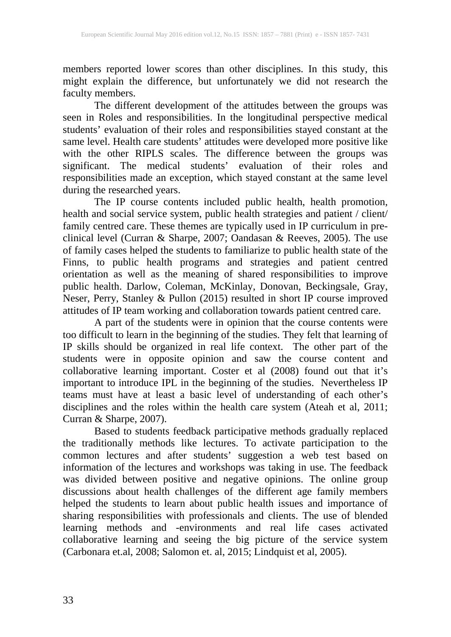members reported lower scores than other disciplines. In this study, this might explain the difference, but unfortunately we did not research the faculty members.

The different development of the attitudes between the groups was seen in Roles and responsibilities. In the longitudinal perspective medical students' evaluation of their roles and responsibilities stayed constant at the same level. Health care students' attitudes were developed more positive like with the other RIPLS scales. The difference between the groups was significant. The medical students' evaluation of their roles and responsibilities made an exception, which stayed constant at the same level during the researched years.

The IP course contents included public health, health promotion, health and social service system, public health strategies and patient / client/ family centred care. These themes are typically used in IP curriculum in preclinical level (Curran & Sharpe, 2007; Oandasan & Reeves, 2005). The use of family cases helped the students to familiarize to public health state of the Finns, to public health programs and strategies and patient centred orientation as well as the meaning of shared responsibilities to improve public health. Darlow, Coleman, McKinlay, Donovan, Beckingsale, Gray, Neser, Perry, Stanley & Pullon (2015) resulted in short IP course improved attitudes of IP team working and collaboration towards patient centred care.

A part of the students were in opinion that the course contents were too difficult to learn in the beginning of the studies. They felt that learning of IP skills should be organized in real life context. The other part of the students were in opposite opinion and saw the course content and collaborative learning important. Coster et al (2008) found out that it's important to introduce IPL in the beginning of the studies. Nevertheless IP teams must have at least a basic level of understanding of each other's disciplines and the roles within the health care system (Ateah et al, 2011; Curran & Sharpe, 2007).

Based to students feedback participative methods gradually replaced the traditionally methods like lectures. To activate participation to the common lectures and after students' suggestion a web test based on information of the lectures and workshops was taking in use. The feedback was divided between positive and negative opinions. The online group discussions about health challenges of the different age family members helped the students to learn about public health issues and importance of sharing responsibilities with professionals and clients. The use of blended learning methods and -environments and real life cases activated collaborative learning and seeing the big picture of the service system (Carbonara et.al, 2008; Salomon et. al, 2015; Lindquist et al, 2005).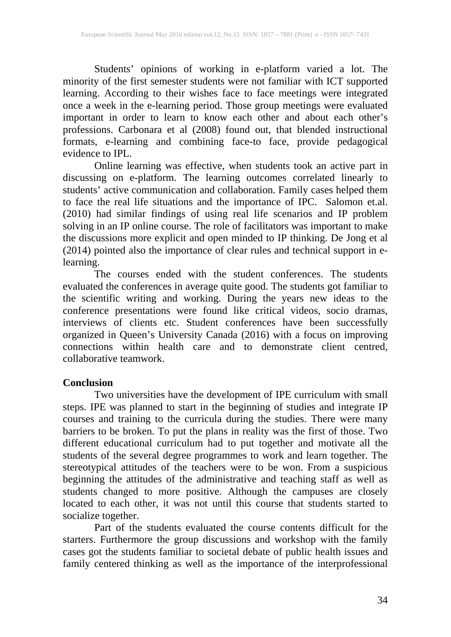Students' opinions of working in e-platform varied a lot. The minority of the first semester students were not familiar with ICT supported learning. According to their wishes face to face meetings were integrated once a week in the e-learning period. Those group meetings were evaluated important in order to learn to know each other and about each other's professions. Carbonara et al (2008) found out, that blended instructional formats, e-learning and combining face-to face, provide pedagogical evidence to IPL.

Online learning was effective, when students took an active part in discussing on e-platform. The learning outcomes correlated linearly to students' active communication and collaboration. Family cases helped them to face the real life situations and the importance of IPC. Salomon et.al. (2010) had similar findings of using real life scenarios and IP problem solving in an IP online course. The role of facilitators was important to make the discussions more explicit and open minded to IP thinking. De Jong et al (2014) pointed also the importance of clear rules and technical support in elearning.

The courses ended with the student conferences. The students evaluated the conferences in average quite good. The students got familiar to the scientific writing and working. During the years new ideas to the conference presentations were found like critical videos, socio dramas, interviews of clients etc. Student conferences have been successfully organized in Queen's University Canada (2016) with a focus on improving connections within health care and to demonstrate client centred, collaborative teamwork.

#### **Conclusion**

Two universities have the development of IPE curriculum with small steps. IPE was planned to start in the beginning of studies and integrate IP courses and training to the curricula during the studies. There were many barriers to be broken. To put the plans in reality was the first of those. Two different educational curriculum had to put together and motivate all the students of the several degree programmes to work and learn together. The stereotypical attitudes of the teachers were to be won. From a suspicious beginning the attitudes of the administrative and teaching staff as well as students changed to more positive. Although the campuses are closely located to each other, it was not until this course that students started to socialize together.

Part of the students evaluated the course contents difficult for the starters. Furthermore the group discussions and workshop with the family cases got the students familiar to societal debate of public health issues and family centered thinking as well as the importance of the interprofessional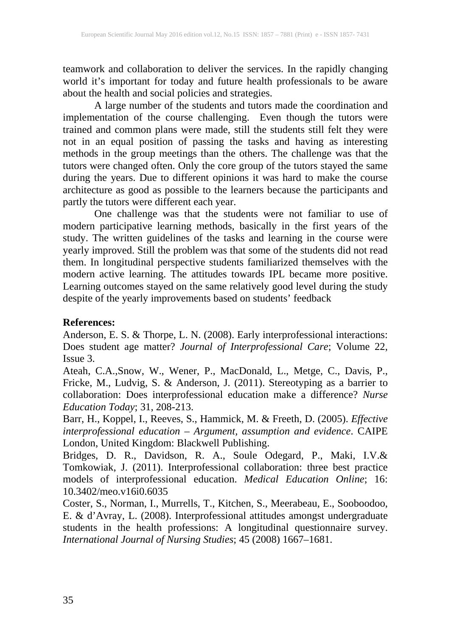teamwork and collaboration to deliver the services. In the rapidly changing world it's important for today and future health professionals to be aware about the health and social policies and strategies.

A large number of the students and tutors made the coordination and implementation of the course challenging. Even though the tutors were trained and common plans were made, still the students still felt they were not in an equal position of passing the tasks and having as interesting methods in the group meetings than the others. The challenge was that the tutors were changed often. Only the core group of the tutors stayed the same during the years. Due to different opinions it was hard to make the course architecture as good as possible to the learners because the participants and partly the tutors were different each year.

One challenge was that the students were not familiar to use of modern participative learning methods, basically in the first years of the study. The written guidelines of the tasks and learning in the course were yearly improved. Still the problem was that some of the students did not read them. In longitudinal perspective students familiarized themselves with the modern active learning. The attitudes towards IPL became more positive. Learning outcomes stayed on the same relatively good level during the study despite of the yearly improvements based on students' feedback

## **References:**

Anderson, E. S. & Thorpe, L. N. (2008). Early interprofessional interactions: Does student age matter? *Journal of Interprofessional Care*; Volume 22, Issue 3.

Ateah, C.A.,Snow, W., Wener, P., MacDonald, L., Metge, C., Davis, P., Fricke, M., Ludvig, S. & Anderson, J. (2011). Stereotyping as a barrier to collaboration: Does interprofessional education make a difference? *Nurse Education Today*; 31, 208-213.

Barr, H., Koppel, I., Reeves, S., Hammick, M. & Freeth, D. (2005). *Effective interprofessional education – Argument, assumption and evidence*. CAIPE London, United Kingdom: Blackwell Publishing.

Bridges, D. R., Davidson, R. A., Soule Odegard, P., Maki, I.V.& Tomkowiak, J. (2011). Interprofessional collaboration: three best practice models of interprofessional education. *Medical Education Online*; 16: 10.3402/meo.v16i0.6035

Coster, S., Norman, I., Murrells, T., Kitchen, S., Meerabeau, E., Sooboodoo, E. & d'Avray, L. (2008). Interprofessional attitudes amongst undergraduate students in the health professions: A longitudinal questionnaire survey. *International Journal of Nursing Studies*; 45 (2008) 1667–1681.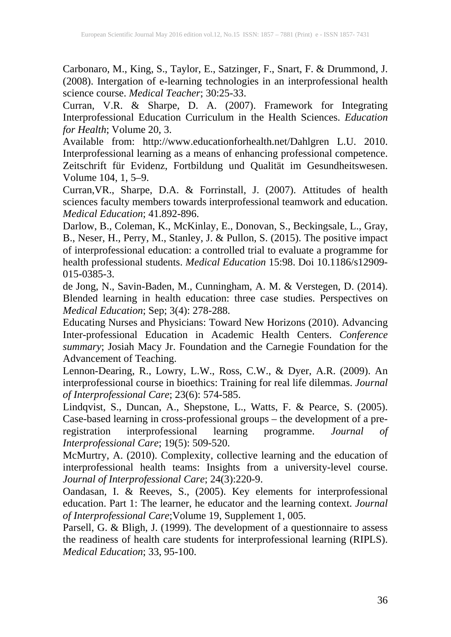Carbonaro, M., King, S., Taylor, E., Satzinger, F., Snart, F. & Drummond, J. (2008). Intergation of e-learning technologies in an interprofessional health science course. *Medical Teacher*; 30:25-33.

Curran, V.R. & Sharpe, D. A. (2007). Framework for Integrating Interprofessional Education Curriculum in the Health Sciences. *Education for Health*; Volume 20, 3.

Available from: http://www.educationforhealth.net/Dahlgren L.U. 2010. Interprofessional learning as a means of enhancing professional competence. Zeitschrift für Evidenz, Fortbildung und Qualität im Gesundheitswesen. Volume 104, 1, 5–9.

Curran,VR., Sharpe, D.A. & Forrinstall, J. (2007). Attitudes of health sciences faculty members towards interprofessional teamwork and education. *Medical Education*; 41.892-896.

Darlow, B., Coleman, K., McKinlay, E., Donovan, S., Beckingsale, L., Gray, B., Neser, H., Perry, M., Stanley, J. & Pullon, S. (2015). The positive impact of interprofessional education: a controlled trial to evaluate a programme for health professional students. *Medical Education* 15:98. Doi 10.1186/s12909- 015-0385-3.

de Jong, N., Savin-Baden, M., Cunningham, A. M. & Verstegen, D. (2014). Blended learning in health education: three case studies. Perspectives on *Medical Education*; Sep; 3(4): 278-288.

Educating Nurses and Physicians: Toward New Horizons (2010). Advancing Inter-professional Education in Academic Health Centers. *Conference summary*; Josiah Macy Jr. Foundation and the Carnegie Foundation for the Advancement of Teaching.

Lennon-Dearing, R., Lowry, L.W., Ross, C.W., & Dyer, A.R. (2009). An interprofessional course in bioethics: Training for real life dilemmas. *Journal of Interprofessional Care*; 23(6): 574-585.

Lindqvist, S., Duncan, A., Shepstone, L., Watts, F. & Pearce, S. (2005). Case-based learning in cross-professional groups – the development of a preregistration interprofessional learning programme. *Journal of Interprofessional Care*; 19(5): 509-520.

McMurtry, A. (2010). Complexity, collective learning and the education of interprofessional health teams: Insights from a university-level course. *Journal of Interprofessional Care*; 24(3):220-9.

Oandasan, I. & Reeves, S., (2005). Key elements for interprofessional education. Part 1: The learner, he educator and the learning context. *Journal of Interprofessional Care*;Volume 19, Supplement 1, 005.

Parsell, G. & Bligh, J. (1999). The development of a questionnaire to assess the readiness of health care students for interprofessional learning (RIPLS). *Medical Education*; 33, 95-100.